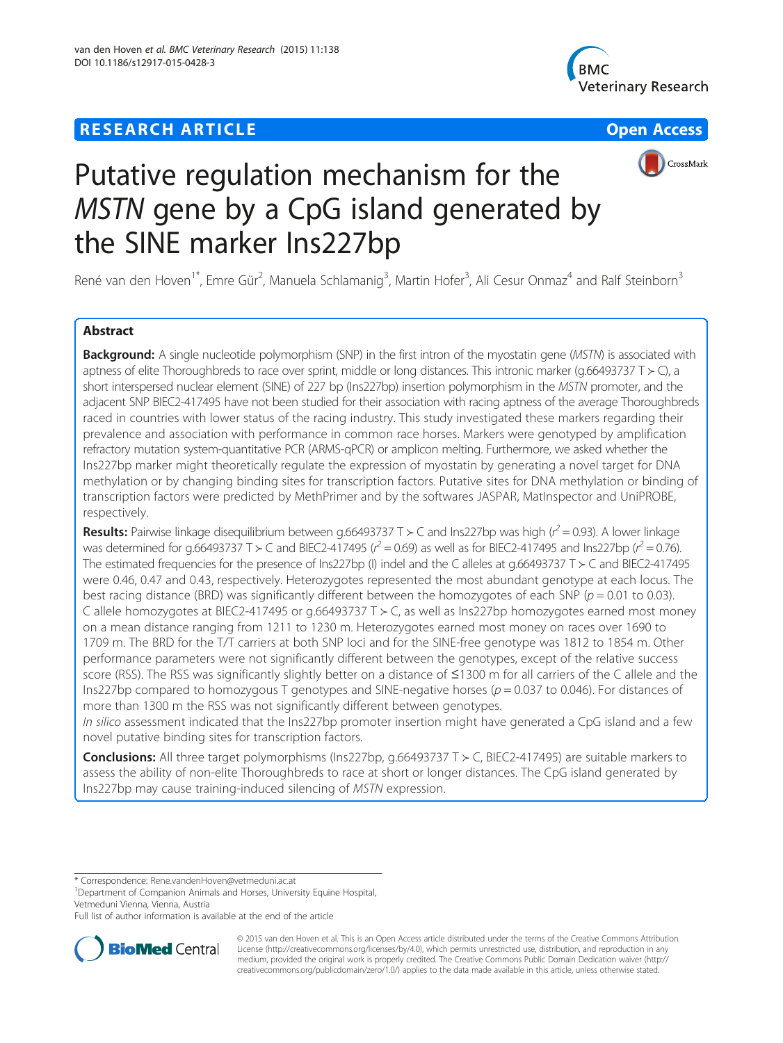## **RESEARCH ARTICLE Example 2014 12:30 THE Open Access**





## CrossMark

# Putative regulation mechanism for the MSTN gene by a CpG island generated by the SINE marker Ins227bp

René van den Hoven<sup>1\*</sup>, Emre Gür<sup>2</sup>, Manuela Schlamanig<sup>3</sup>, Martin Hofer<sup>3</sup>, Ali Cesur Onmaz<sup>4</sup> and Ralf Steinborn<sup>3</sup>

## Abstract

Background: A single nucleotide polymorphism (SNP) in the first intron of the myostatin gene (MSTN) is associated with aptness of elite Thoroughbreds to race over sprint, middle or long distances. This intronic marker (g.66493737 T ≻ C), a short interspersed nuclear element (SINE) of 227 bp (Ins227bp) insertion polymorphism in the MSTN promoter, and the adjacent SNP BIEC2-417495 have not been studied for their association with racing aptness of the average Thoroughbreds raced in countries with lower status of the racing industry. This study investigated these markers regarding their prevalence and association with performance in common race horses. Markers were genotyped by amplification refractory mutation system-quantitative PCR (ARMS-qPCR) or amplicon melting. Furthermore, we asked whether the Ins227bp marker might theoretically regulate the expression of myostatin by generating a novel target for DNA methylation or by changing binding sites for transcription factors. Putative sites for DNA methylation or binding of transcription factors were predicted by MethPrimer and by the softwares JASPAR, MatInspector and UniPROBE, respectively.

Results: Pairwise linkage disequilibrium between g.66493737 T ≻ C and Ins227bp was high ( $r^2$  = 0.93). A lower linkage was determined for g.66493737 T > C and BIEC2-417495 ( $r^2$  = 0.69) as well as for BIEC2-417495 and Ins227bp ( $r^2$  = 0.76). The estimated frequencies for the presence of Ins227bp (I) indel and the C alleles at g.66493737 T ≻ C and BIEC2-417495 were 0.46, 0.47 and 0.43, respectively. Heterozygotes represented the most abundant genotype at each locus. The best racing distance (BRD) was significantly different between the homozygotes of each SNP ( $p = 0.01$  to 0.03). C allele homozygotes at BIEC2-417495 or g.66493737 T ≻ C, as well as Ins227bp homozygotes earned most money on a mean distance ranging from 1211 to 1230 m. Heterozygotes earned most money on races over 1690 to 1709 m. The BRD for the T/T carriers at both SNP loci and for the SINE-free genotype was 1812 to 1854 m. Other performance parameters were not significantly different between the genotypes, except of the relative success score (RSS). The RSS was significantly slightly better on a distance of ≤1300 m for all carriers of the C allele and the Ins227bp compared to homozygous T genotypes and SINE-negative horses ( $p = 0.037$  to 0.046). For distances of more than 1300 m the RSS was not significantly different between genotypes.

In silico assessment indicated that the Ins227bp promoter insertion might have generated a CpG island and a few novel putative binding sites for transcription factors.

**Conclusions:** All three target polymorphisms (Ins227bp, g.66493737 T  $>$  C, BIEC2-417495) are suitable markers to assess the ability of non-elite Thoroughbreds to race at short or longer distances. The CpG island generated by Ins227bp may cause training-induced silencing of MSTN expression.

\* Correspondence: [Rene.vandenHoven@vetmeduni.ac.at](mailto:Rene.vandenHoven@vetmeduni.ac.at) <sup>1</sup>

<sup>1</sup>Department of Companion Animals and Horses, University Equine Hospital, Vetmeduni Vienna, Vienna, Austria

Full list of author information is available at the end of the article



© 2015 van den Hoven et al. This is an Open Access article distributed under the terms of the Creative Commons Attribution License (<http://creativecommons.org/licenses/by/4.0>), which permits unrestricted use, distribution, and reproduction in any medium, provided the original work is properly credited. The Creative Commons Public Domain Dedication waiver [\(http://](http://creativecommons.org/publicdomain/zero/1.0/) [creativecommons.org/publicdomain/zero/1.0/\)](http://creativecommons.org/publicdomain/zero/1.0/) applies to the data made available in this article, unless otherwise stated.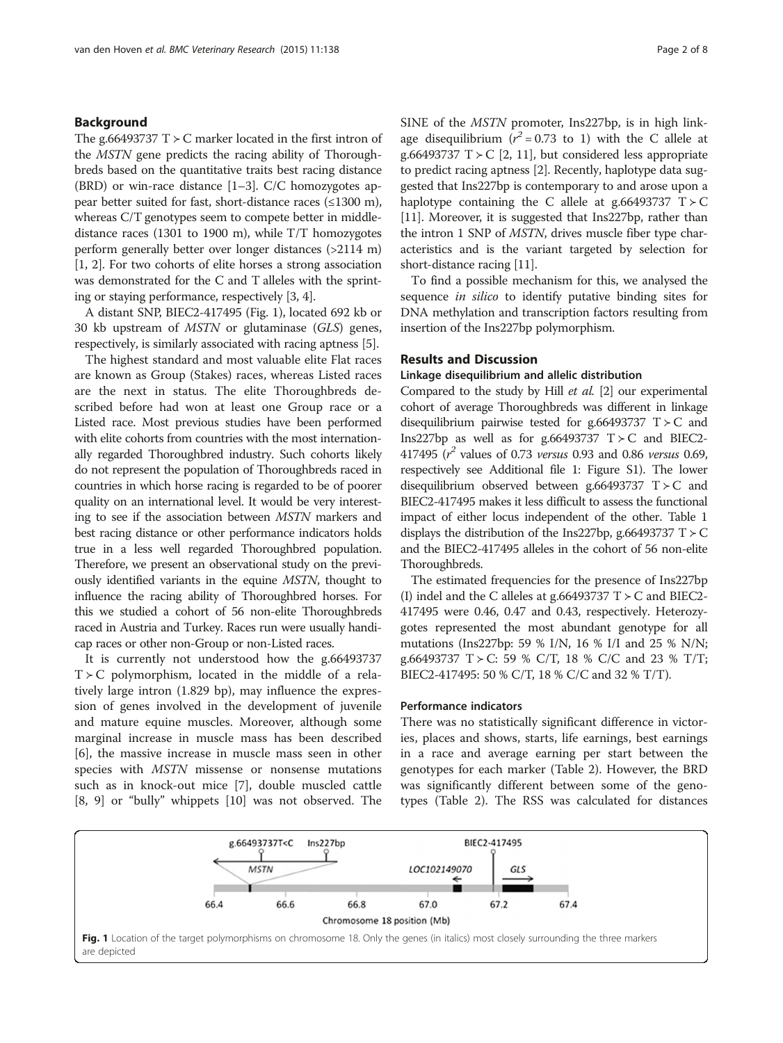## Background

The g.66493737 T  $>$  C marker located in the first intron of the MSTN gene predicts the racing ability of Thoroughbreds based on the quantitative traits best racing distance (BRD) or win-race distance [\[1](#page-6-0)–[3\]](#page-6-0). C/C homozygotes appear better suited for fast, short-distance races (≤1300 m), whereas C/T genotypes seem to compete better in middledistance races (1301 to 1900 m), while T/T homozygotes perform generally better over longer distances (>2114 m) [[1, 2\]](#page-6-0). For two cohorts of elite horses a strong association was demonstrated for the C and T alleles with the sprinting or staying performance, respectively [[3, 4](#page-6-0)].

A distant SNP, BIEC2-417495 (Fig. 1), located 692 kb or 30 kb upstream of MSTN or glutaminase (GLS) genes, respectively, is similarly associated with racing aptness [\[5](#page-6-0)].

The highest standard and most valuable elite Flat races are known as Group (Stakes) races, whereas Listed races are the next in status. The elite Thoroughbreds described before had won at least one Group race or a Listed race. Most previous studies have been performed with elite cohorts from countries with the most internationally regarded Thoroughbred industry. Such cohorts likely do not represent the population of Thoroughbreds raced in countries in which horse racing is regarded to be of poorer quality on an international level. It would be very interesting to see if the association between MSTN markers and best racing distance or other performance indicators holds true in a less well regarded Thoroughbred population. Therefore, we present an observational study on the previously identified variants in the equine MSTN, thought to influence the racing ability of Thoroughbred horses. For this we studied a cohort of 56 non-elite Thoroughbreds raced in Austria and Turkey. Races run were usually handicap races or other non-Group or non-Listed races.

It is currently not understood how the g.66493737 T ≻ C polymorphism, located in the middle of a relatively large intron (1.829 bp), may influence the expression of genes involved in the development of juvenile and mature equine muscles. Moreover, although some marginal increase in muscle mass has been described [[6\]](#page-6-0), the massive increase in muscle mass seen in other species with MSTN missense or nonsense mutations such as in knock-out mice [\[7](#page-6-0)], double muscled cattle [[8, 9\]](#page-6-0) or "bully" whippets [[10](#page-6-0)] was not observed. The SINE of the MSTN promoter, Ins227bp, is in high linkage disequilibrium  $(r^2 = 0.73$  to 1) with the C allele at g.66493737 T  $\geq$  C [[2](#page-6-0), [11\]](#page-6-0), but considered less appropriate to predict racing aptness [[2\]](#page-6-0). Recently, haplotype data suggested that Ins227bp is contemporary to and arose upon a haplotype containing the C allele at g.66493737  $T > C$ [[11](#page-6-0)]. Moreover, it is suggested that Ins227bp, rather than the intron 1 SNP of MSTN, drives muscle fiber type characteristics and is the variant targeted by selection for short-distance racing [\[11\]](#page-6-0).

To find a possible mechanism for this, we analysed the sequence *in silico* to identify putative binding sites for DNA methylation and transcription factors resulting from insertion of the Ins227bp polymorphism.

## Results and Discussion

## Linkage disequilibrium and allelic distribution

Compared to the study by Hill et al. [\[2\]](#page-6-0) our experimental cohort of average Thoroughbreds was different in linkage disequilibrium pairwise tested for g.66493737  $T > C$  and Ins227bp as well as for g.66493737  $T \succ C$  and BIEC2-417495  $(r^2$  values of 0.73 versus 0.93 and 0.86 versus 0.69, respectively see Additional file [1:](#page-6-0) Figure S1). The lower disequilibrium observed between g.66493737  $T > C$  and BIEC2-417495 makes it less difficult to assess the functional impact of either locus independent of the other. Table [1](#page-2-0) displays the distribution of the Ins227bp, g.66493737 T  $>$  C and the BIEC2-417495 alleles in the cohort of 56 non-elite Thoroughbreds.

The estimated frequencies for the presence of Ins227bp (I) indel and the C alleles at g.66493737 T  $>$  C and BIEC2-417495 were 0.46, 0.47 and 0.43, respectively. Heterozygotes represented the most abundant genotype for all mutations (Ins227bp: 59 % I/N, 16 % I/I and 25 % N/N; g.66493737 T ≻ C: 59 % C/T, 18 % C/C and 23 % T/T; BIEC2-417495: 50 % C/T, 18 % C/C and 32 % T/T).

### Performance indicators

There was no statistically significant difference in victories, places and shows, starts, life earnings, best earnings in a race and average earning per start between the genotypes for each marker (Table [2\)](#page-2-0). However, the BRD was significantly different between some of the genotypes (Table [2](#page-2-0)). The RSS was calculated for distances

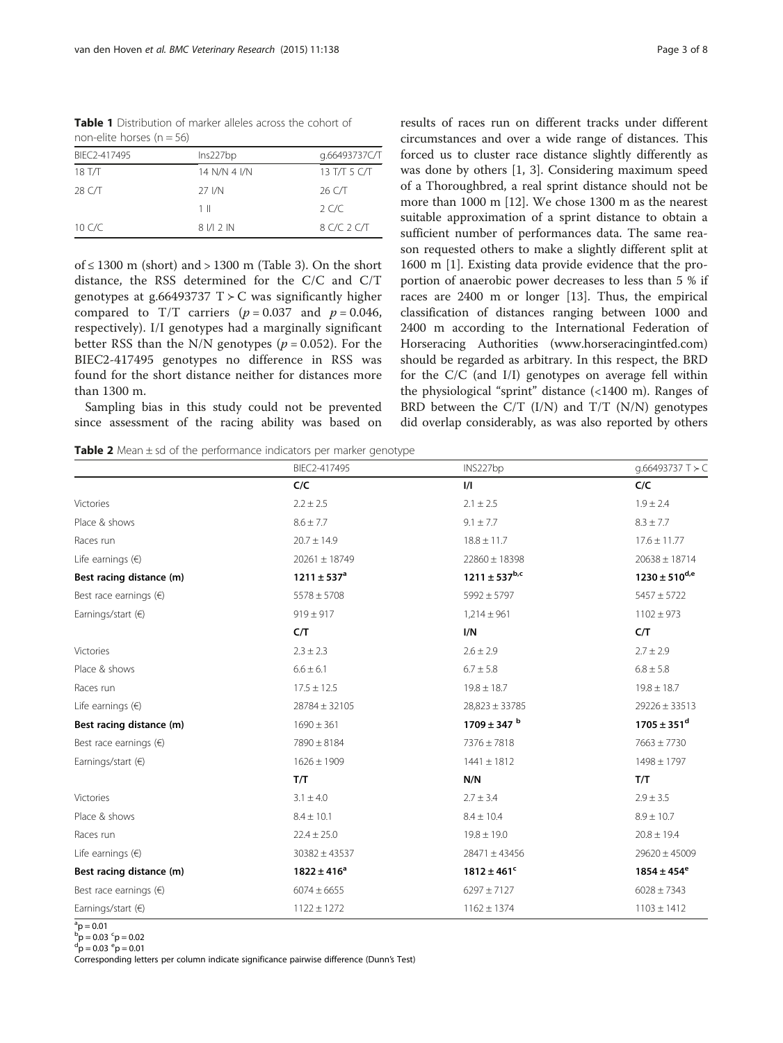<span id="page-2-0"></span>Table 1 Distribution of marker alleles across the cohort of non-elite horses ( $n = 56$ )

| BIEC2-417495 | Ins227bp      | q.66493737C/T |
|--------------|---------------|---------------|
| 18 T/T       | 14 N/N 4 I/N  | 13 T/T 5 C/T  |
| 28 C/T       | 27 I/N        | 26 C/T        |
|              | 1 II          | 2 C/C         |
| 10 C/C       | 8   / 1 2   N | 8 C/C 2 C/T   |
|              |               |               |

of  $\leq$  1300 m (short) and  $>$  1300 m (Table [3](#page-3-0)). On the short distance, the RSS determined for the C/C and C/T genotypes at g.66493737 T  $>$  C was significantly higher compared to T/T carriers ( $p = 0.037$  and  $p = 0.046$ , respectively). I/I genotypes had a marginally significant better RSS than the N/N genotypes ( $p = 0.052$ ). For the BIEC2-417495 genotypes no difference in RSS was found for the short distance neither for distances more than 1300 m.

Sampling bias in this study could not be prevented since assessment of the racing ability was based on

**Table 2** Mean  $\pm$  sd of the performance indicators per marker genotype

results of races run on different tracks under different circumstances and over a wide range of distances. This forced us to cluster race distance slightly differently as was done by others [[1, 3](#page-6-0)]. Considering maximum speed of a Thoroughbred, a real sprint distance should not be more than 1000 m [\[12\]](#page-6-0). We chose 1300 m as the nearest suitable approximation of a sprint distance to obtain a sufficient number of performances data. The same reason requested others to make a slightly different split at 1600 m [\[1](#page-6-0)]. Existing data provide evidence that the proportion of anaerobic power decreases to less than 5 % if races are 2400 m or longer [\[13\]](#page-6-0). Thus, the empirical classification of distances ranging between 1000 and 2400 m according to the International Federation of Horseracing Authorities ([www.horseracingintfed.com](http://www.horseracingintfed.com)) should be regarded as arbitrary. In this respect, the BRD for the C/C (and I/I) genotypes on average fell within the physiological "sprint" distance (<1400 m). Ranges of BRD between the  $C/T$  (I/N) and  $T/T$  (N/N) genotypes did overlap considerably, as was also reported by others

BIEC2-417495 INS227bp g.66493737 T ≻ C

| $2.2 \pm 2.5$<br>Victories     | ヒル |               |
|--------------------------------|----|---------------|
|                                |    | $2.1 \pm 2.5$ |
| Place & shows<br>$8.6 \pm 7.7$ |    | $9.1 \pm 7.7$ |

|                                 | C/C               | $\frac{1}{1}$        | C/C                  |
|---------------------------------|-------------------|----------------------|----------------------|
| Victories                       | $2.2 \pm 2.5$     | $2.1 \pm 2.5$        | $1.9 \pm 2.4$        |
| Place & shows                   | $8.6 \pm 7.7$     | $9.1 \pm 7.7$        | $8.3 \pm 7.7$        |
| Races run                       | $20.7 \pm 14.9$   | $18.8 \pm 11.7$      | $17.6 \pm 11.77$     |
| Life earnings $(6)$             | $20261 \pm 18749$ | $22860 \pm 18398$    | $20638 \pm 18714$    |
| Best racing distance (m)        | $1211 \pm 537^a$  | $1211 \pm 537^{b,c}$ | $1230 \pm 510^{d,e}$ |
| Best race earnings $(\epsilon)$ | $5578 \pm 5708$   | $5992 \pm 5797$      | $5457 \pm 5722$      |
| Earnings/start $(6)$            | $919 \pm 917$     | $1,214 \pm 961$      | $1102 \pm 973$       |
|                                 | C/T               | I/N                  | C/T                  |
| Victories                       | $2.3 \pm 2.3$     | $2.6 \pm 2.9$        | $2.7 \pm 2.9$        |
| Place & shows                   | $6.6 \pm 6.1$     | $6.7 \pm 5.8$        | $6.8 \pm 5.8$        |
| Races run                       | $17.5 \pm 12.5$   | $19.8 \pm 18.7$      | $19.8 \pm 18.7$      |
| Life earnings $(\epsilon)$      | 28784 ± 32105     | $28,823 \pm 33785$   | $29226 \pm 33513$    |
| Best racing distance (m)        | $1690 \pm 361$    | $1709 \pm 347$ b     | $1705 \pm 351^d$     |
| Best race earnings $(\epsilon)$ | 7890 ± 8184       | $7376 \pm 7818$      | $7663 \pm 7730$      |
| Earnings/start $(6)$            | $1626 \pm 1909$   | $1441 \pm 1812$      | $1498 \pm 1797$      |
|                                 | T/T               | N/N                  | T/T                  |
| Victories                       | $3.1 \pm 4.0$     | $2.7 \pm 3.4$        | $2.9 \pm 3.5$        |
| Place & shows                   | $8.4 \pm 10.1$    | $8.4 \pm 10.4$       | $8.9 \pm 10.7$       |
| Races run                       | $22.4 \pm 25.0$   | $19.8 \pm 19.0$      | $20.8 \pm 19.4$      |
| Life earnings $(6)$             | $30382 \pm 43537$ | $28471 \pm 43456$    | $29620 \pm 45009$    |
| Best racing distance (m)        | $1822 \pm 416^a$  | $1812 \pm 461^c$     | $1854 \pm 454^e$     |
| Best race earnings $(\epsilon)$ | $6074 \pm 6655$   | $6297 \pm 7127$      | $6028 \pm 7343$      |
| Earnings/start $(6)$            | $1122 \pm 1272$   | $1162 \pm 1374$      | $1103 \pm 1412$      |

 ${}^{a}p = 0.01$ 

 ${}^{b}p = 0.03$   ${}^{c}p = 0.02$ <br> ${}^{d}p = 0.02$   ${}^{e}p = 0.01$ 

 $p = 0.03$  e $p = 0.01$ 

Corresponding letters per column indicate significance pairwise difference (Dunn's Test)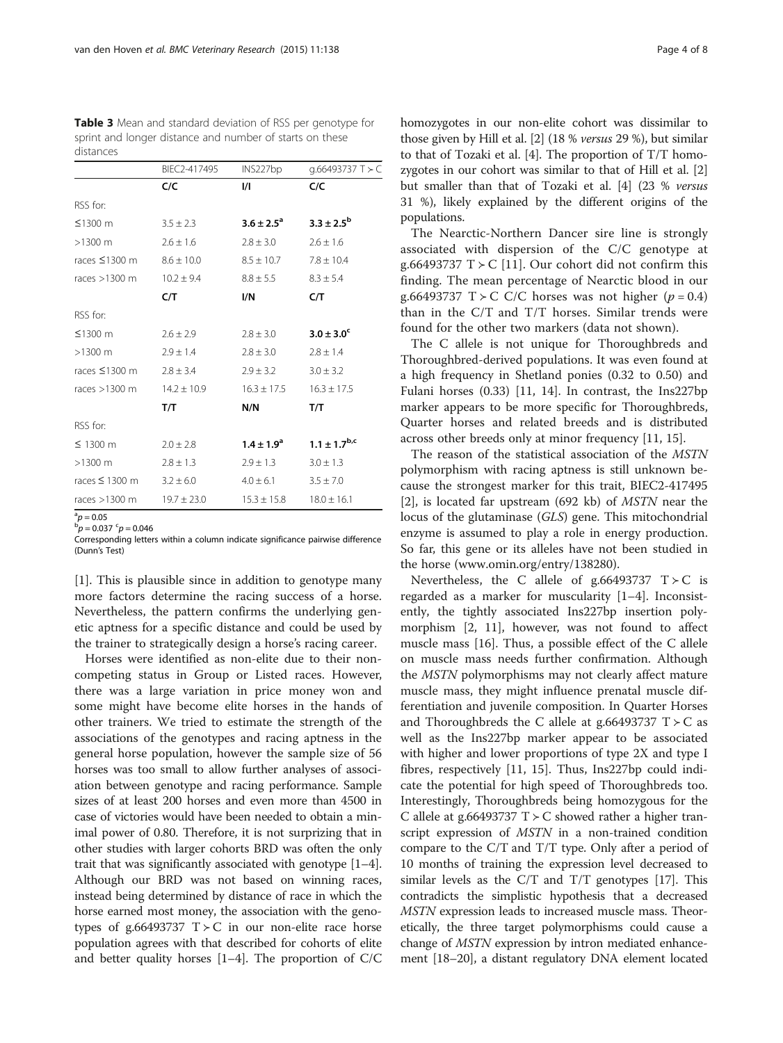<span id="page-3-0"></span>Table 3 Mean and standard deviation of RSS per genotype for sprint and longer distance and number of starts on these distances

|                                    | q.66493737 T ≻ C                   |
|------------------------------------|------------------------------------|
|                                    | C/C                                |
| RSS for:                           |                                    |
| $≤1300$ m                          | $3.3 \pm 2.5^{b}$                  |
| $>1300$ m                          | $2.6 \pm 1.6$                      |
| races $\leq$ 1300 m                | $7.8 + 10.4$                       |
| races $>1300$ m                    | $8.3 \pm 5.4$                      |
|                                    | C/T                                |
| RSS for:                           |                                    |
| $≤1300$ m                          | $3.0 \pm 3.0^{\circ}$              |
| $>1300$ m                          | $2.8 \pm 1.4$                      |
| races $\leq$ 1300 m                | $3.0 \pm 3.2$                      |
| races $>1300$ m                    | $16.3 \pm 17.5$                    |
|                                    | T/T                                |
| RSS for:                           |                                    |
| $\leq$ 1300 m                      | $1.1 \pm 1.7^{b,c}$                |
| $>1300$ m                          | $3.0 \pm 1.3$                      |
| races $\leq$ 1300 m                | $3.5 \pm 7.0$                      |
| $19.7 \pm 23.0$<br>races $>1300$ m | $18.0 \pm 16.1$<br>$15.3 \pm 15.8$ |
|                                    |                                    |

 $b_{p}^{\text{a}} = 0.05$ 

 $p = 0.037$   $^{c}p = 0.046$ Corresponding letters within a column indicate significance pairwise difference (Dunn's Test)

[[1\]](#page-6-0). This is plausible since in addition to genotype many more factors determine the racing success of a horse. Nevertheless, the pattern confirms the underlying genetic aptness for a specific distance and could be used by the trainer to strategically design a horse's racing career.

Horses were identified as non-elite due to their noncompeting status in Group or Listed races. However, there was a large variation in price money won and some might have become elite horses in the hands of other trainers. We tried to estimate the strength of the associations of the genotypes and racing aptness in the general horse population, however the sample size of 56 horses was too small to allow further analyses of association between genotype and racing performance. Sample sizes of at least 200 horses and even more than 4500 in case of victories would have been needed to obtain a minimal power of 0.80. Therefore, it is not surprizing that in other studies with larger cohorts BRD was often the only trait that was significantly associated with genotype [[1](#page-6-0)–[4](#page-6-0)]. Although our BRD was not based on winning races, instead being determined by distance of race in which the horse earned most money, the association with the genotypes of g.66493737  $T > C$  in our non-elite race horse population agrees with that described for cohorts of elite and better quality horses [\[1](#page-6-0)–[4\]](#page-6-0). The proportion of C/C homozygotes in our non-elite cohort was dissimilar to those given by Hill et al. [\[2](#page-6-0)] (18 % versus 29 %), but similar to that of Tozaki et al. [\[4](#page-6-0)]. The proportion of T/T homozygotes in our cohort was similar to that of Hill et al. [[2](#page-6-0)] but smaller than that of Tozaki et al. [[4\]](#page-6-0) (23 % versus 31 %), likely explained by the different origins of the populations.

The Nearctic-Northern Dancer sire line is strongly associated with dispersion of the C/C genotype at g.66493737 T  $>$  C [\[11\]](#page-6-0). Our cohort did not confirm this finding. The mean percentage of Nearctic blood in our g.66493737 T ≻ C C/C horses was not higher ( $p = 0.4$ ) than in the C/T and T/T horses. Similar trends were found for the other two markers (data not shown).

The C allele is not unique for Thoroughbreds and Thoroughbred-derived populations. It was even found at a high frequency in Shetland ponies (0.32 to 0.50) and Fulani horses (0.33) [\[11](#page-6-0), [14\]](#page-6-0). In contrast, the Ins227bp marker appears to be more specific for Thoroughbreds, Quarter horses and related breeds and is distributed across other breeds only at minor frequency [[11, 15\]](#page-6-0).

The reason of the statistical association of the MSTN polymorphism with racing aptness is still unknown because the strongest marker for this trait, BIEC2-417495 [[2\]](#page-6-0), is located far upstream (692 kb) of MSTN near the locus of the glutaminase (GLS) gene. This mitochondrial enzyme is assumed to play a role in energy production. So far, this gene or its alleles have not been studied in the horse ([www.omin.org/entry/138280](http://www.omin.org/entry/138280)).

Nevertheless, the C allele of g.66493737  $T > C$  is regarded as a marker for muscularity [[1](#page-6-0)–[4](#page-6-0)]. Inconsistently, the tightly associated Ins227bp insertion polymorphism [[2, 11\]](#page-6-0), however, was not found to affect muscle mass [[16\]](#page-6-0). Thus, a possible effect of the C allele on muscle mass needs further confirmation. Although the MSTN polymorphisms may not clearly affect mature muscle mass, they might influence prenatal muscle differentiation and juvenile composition. In Quarter Horses and Thoroughbreds the C allele at g.66493737 T  $>$  C as well as the Ins227bp marker appear to be associated with higher and lower proportions of type 2X and type I fibres, respectively [\[11](#page-6-0), [15](#page-6-0)]. Thus, Ins227bp could indicate the potential for high speed of Thoroughbreds too. Interestingly, Thoroughbreds being homozygous for the C allele at g.66493737  $T > C$  showed rather a higher transcript expression of MSTN in a non-trained condition compare to the C/T and T/T type. Only after a period of 10 months of training the expression level decreased to similar levels as the C/T and T/T genotypes [\[17\]](#page-6-0). This contradicts the simplistic hypothesis that a decreased MSTN expression leads to increased muscle mass. Theoretically, the three target polymorphisms could cause a change of MSTN expression by intron mediated enhancement [\[18](#page-6-0)–[20](#page-6-0)], a distant regulatory DNA element located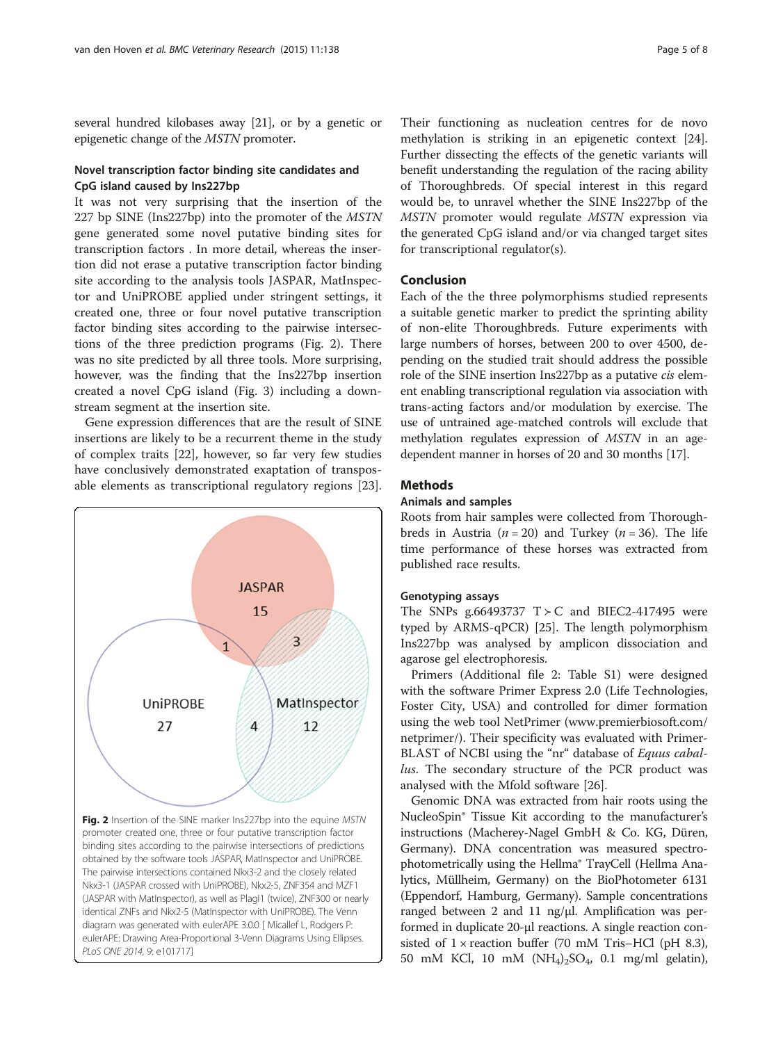several hundred kilobases away [\[21\]](#page-6-0), or by a genetic or epigenetic change of the MSTN promoter.

## Novel transcription factor binding site candidates and CpG island caused by Ins227bp

It was not very surprising that the insertion of the 227 bp SINE (Ins227bp) into the promoter of the MSTN gene generated some novel putative binding sites for transcription factors . In more detail, whereas the insertion did not erase a putative transcription factor binding site according to the analysis tools JASPAR, MatInspector and UniPROBE applied under stringent settings, it created one, three or four novel putative transcription factor binding sites according to the pairwise intersections of the three prediction programs (Fig. 2). There was no site predicted by all three tools. More surprising, however, was the finding that the Ins227bp insertion created a novel CpG island (Fig. [3](#page-5-0)) including a downstream segment at the insertion site.

Gene expression differences that are the result of SINE insertions are likely to be a recurrent theme in the study of complex traits [[22](#page-6-0)], however, so far very few studies have conclusively demonstrated exaptation of transposable elements as transcriptional regulatory regions [\[23](#page-6-0)].



Their functioning as nucleation centres for de novo methylation is striking in an epigenetic context [\[24](#page-6-0)]. Further dissecting the effects of the genetic variants will benefit understanding the regulation of the racing ability of Thoroughbreds. Of special interest in this regard would be, to unravel whether the SINE Ins227bp of the MSTN promoter would regulate MSTN expression via the generated CpG island and/or via changed target sites for transcriptional regulator(s).

## Conclusion

Each of the the three polymorphisms studied represents a suitable genetic marker to predict the sprinting ability of non-elite Thoroughbreds. Future experiments with large numbers of horses, between 200 to over 4500, depending on the studied trait should address the possible role of the SINE insertion Ins227bp as a putative cis element enabling transcriptional regulation via association with trans-acting factors and/or modulation by exercise. The use of untrained age-matched controls will exclude that methylation regulates expression of MSTN in an agedependent manner in horses of 20 and 30 months [[17](#page-6-0)].

## **Methods**

## Animals and samples

Roots from hair samples were collected from Thoroughbreds in Austria ( $n = 20$ ) and Turkey ( $n = 36$ ). The life time performance of these horses was extracted from published race results.

#### Genotyping assays

The SNPs g.66493737  $T > C$  and BIEC2-417495 were typed by ARMS-qPCR) [[25\]](#page-6-0). The length polymorphism Ins227bp was analysed by amplicon dissociation and agarose gel electrophoresis.

Primers (Additional file [2](#page-6-0): Table S1) were designed with the software Primer Express 2.0 (Life Technologies, Foster City, USA) and controlled for dimer formation using the web tool NetPrimer ([www.premierbiosoft.com/](http://www.premierbiosoft.com/netprimer/) [netprimer/\)](http://www.premierbiosoft.com/netprimer/). Their specificity was evaluated with Primer-BLAST of NCBI using the "nr" database of Equus caballus. The secondary structure of the PCR product was analysed with the Mfold software [\[26\]](#page-6-0).

Genomic DNA was extracted from hair roots using the NucleoSpin® Tissue Kit according to the manufacturer's instructions (Macherey-Nagel GmbH & Co. KG, Düren, Germany). DNA concentration was measured spectrophotometrically using the Hellma® TrayCell (Hellma Analytics, Müllheim, Germany) on the BioPhotometer 6131 (Eppendorf, Hamburg, Germany). Sample concentrations ranged between 2 and 11 ng/μl. Amplification was performed in duplicate 20-μl reactions. A single reaction consisted of  $1 \times$  reaction buffer (70 mM Tris–HCl (pH 8.3), 50 mM KCl, 10 mM (NH4)2SO4, 0.1 mg/ml gelatin),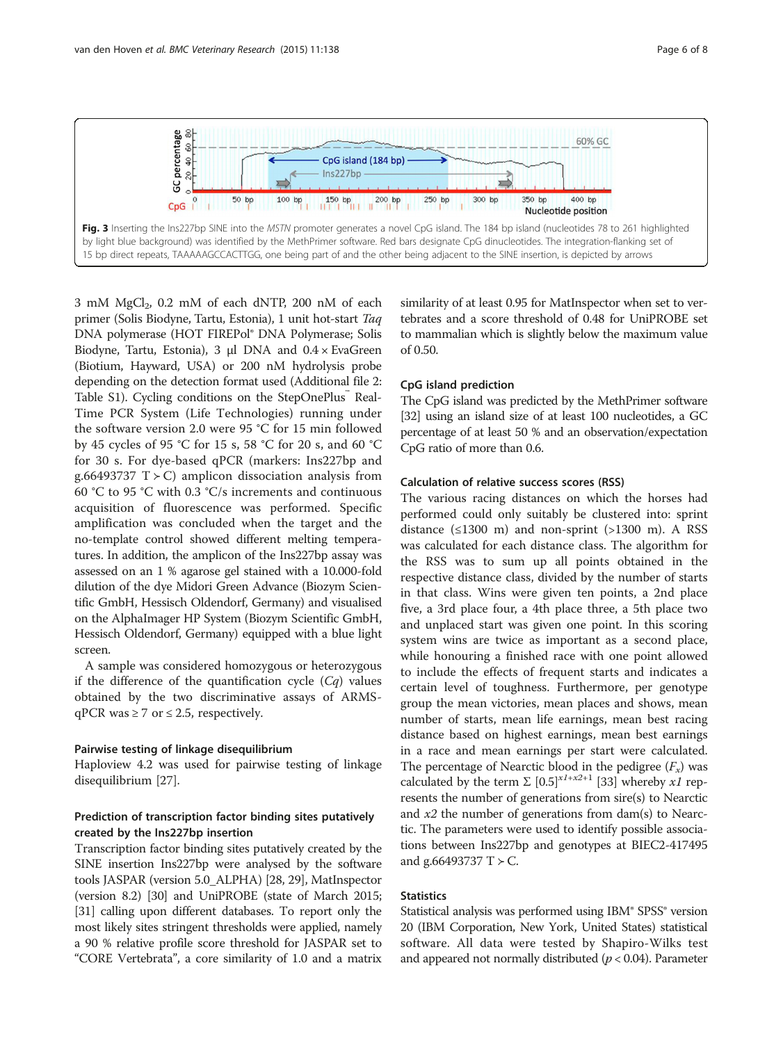3 mM MgCl<sub>2</sub>, 0.2 mM of each dNTP, 200 nM of each primer (Solis Biodyne, Tartu, Estonia), 1 unit hot-start Taq DNA polymerase (HOT FIREPol® DNA Polymerase; Solis Biodyne, Tartu, Estonia), 3 μl DNA and 0.4 × EvaGreen (Biotium, Hayward, USA) or 200 nM hydrolysis probe depending on the detection format used (Additional file [2](#page-6-0): Table S1). Cycling conditions on the StepOnePlus™ Real-Time PCR System (Life Technologies) running under the software version 2.0 were 95 °C for 15 min followed by 45 cycles of 95 °C for 15 s, 58 °C for 20 s, and 60 °C for 30 s. For dye-based qPCR (markers: Ins227bp and g.66493737 T  $>$  C) amplicon dissociation analysis from 60 °C to 95 °C with 0.3 °C/s increments and continuous acquisition of fluorescence was performed. Specific amplification was concluded when the target and the no-template control showed different melting temperatures. In addition, the amplicon of the Ins227bp assay was assessed on an 1 % agarose gel stained with a 10.000-fold dilution of the dye Midori Green Advance (Biozym Scientific GmbH, Hessisch Oldendorf, Germany) and visualised on the AlphaImager HP System (Biozym Scientific GmbH, Hessisch Oldendorf, Germany) equipped with a blue light screen.

A sample was considered homozygous or heterozygous if the difference of the quantification cycle  $(Cq)$  values obtained by the two discriminative assays of ARMSqPCR was  $\geq$  7 or  $\leq$  2.5, respectively.

## Pairwise testing of linkage disequilibrium

Haploview 4.2 was used for pairwise testing of linkage disequilibrium [[27\]](#page-6-0).

## Prediction of transcription factor binding sites putatively created by the Ins227bp insertion

Transcription factor binding sites putatively created by the SINE insertion Ins227bp were analysed by the software tools JASPAR (version 5.0\_ALPHA) [\[28, 29\]](#page-6-0), MatInspector (version 8.2) [\[30\]](#page-6-0) and UniPROBE (state of March 2015; [[31](#page-7-0)] calling upon different databases. To report only the most likely sites stringent thresholds were applied, namely a 90 % relative profile score threshold for JASPAR set to "CORE Vertebrata", a core similarity of 1.0 and a matrix similarity of at least 0.95 for MatInspector when set to vertebrates and a score threshold of 0.48 for UniPROBE set to mammalian which is slightly below the maximum value of 0.50.

### CpG island prediction

The CpG island was predicted by the MethPrimer software [[32](#page-7-0)] using an island size of at least 100 nucleotides, a GC percentage of at least 50 % and an observation/expectation CpG ratio of more than 0.6.

### Calculation of relative success scores (RSS)

The various racing distances on which the horses had performed could only suitably be clustered into: sprint distance  $(\leq 1300 \text{ m})$  and non-sprint  $(\geq 1300 \text{ m})$ . A RSS was calculated for each distance class. The algorithm for the RSS was to sum up all points obtained in the respective distance class, divided by the number of starts in that class. Wins were given ten points, a 2nd place five, a 3rd place four, a 4th place three, a 5th place two and unplaced start was given one point. In this scoring system wins are twice as important as a second place, while honouring a finished race with one point allowed to include the effects of frequent starts and indicates a certain level of toughness. Furthermore, per genotype group the mean victories, mean places and shows, mean number of starts, mean life earnings, mean best racing distance based on highest earnings, mean best earnings in a race and mean earnings per start were calculated. The percentage of Nearctic blood in the pedigree  $(F_x)$  was calculated by the term  $\Sigma$  [0.5]<sup>x1+x2+1</sup> [\[33\]](#page-7-0) whereby x1 represents the number of generations from sire(s) to Nearctic and  $x^2$  the number of generations from dam(s) to Nearctic. The parameters were used to identify possible associations between Ins227bp and genotypes at BIEC2-417495 and g.66493737 T  $>$  C.

## **Statistics**

Statistical analysis was performed using IBM® SPSS® version 20 (IBM Corporation, New York, United States) statistical software. All data were tested by Shapiro-Wilks test and appeared not normally distributed ( $p < 0.04$ ). Parameter

<span id="page-5-0"></span>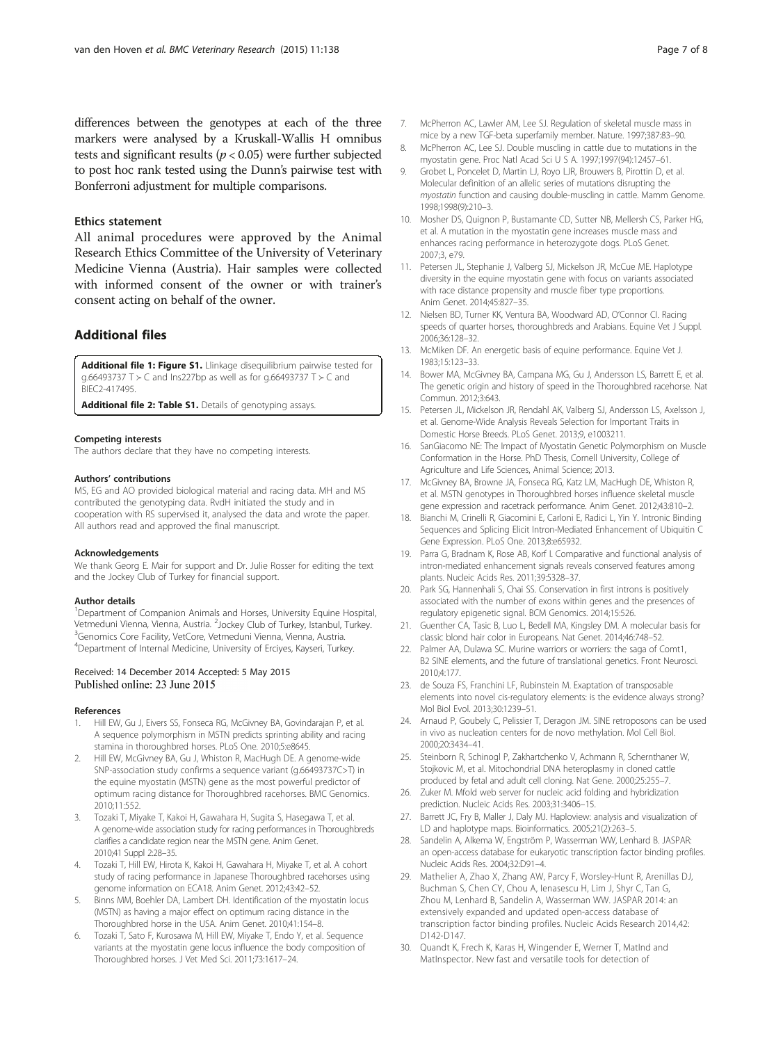#### <span id="page-6-0"></span>Ethics statement

All animal procedures were approved by the Animal Research Ethics Committee of the University of Veterinary Medicine Vienna (Austria). Hair samples were collected with informed consent of the owner or with trainer's consent acting on behalf of the owner.

## Additional files

[Additional file 1: Figure S1.](http://www.biomedcentral.com/content/supplementary/s12917-015-0428-3-s1.pdf) Llinkage disequilibrium pairwise tested for g.66493737 T ≻ C and Ins227bp as well as for g.66493737 T ≻ C and BIEC2-417495.

[Additional file 2: Table S1.](http://www.biomedcentral.com/content/supplementary/s12917-015-0428-3-s2.pdf) Details of genotyping assays.

#### Competing interests

The authors declare that they have no competing interests.

#### Authors' contributions

MS, EG and AO provided biological material and racing data. MH and MS contributed the genotyping data. RvdH initiated the study and in cooperation with RS supervised it, analysed the data and wrote the paper. All authors read and approved the final manuscript.

#### Acknowledgements

We thank Georg E. Mair for support and Dr. Julie Rosser for editing the text and the Jockey Club of Turkey for financial support.

#### Author details

<sup>1</sup>Department of Companion Animals and Horses, University Equine Hospital, Vetmeduni Vienna, Vienna, Austria. <sup>2</sup>Jockey Club of Turkey, Istanbul, Turkey.<br><sup>3</sup>Genomics Core Facility, VetCore Vetmeduni Vienna, Vienna, Austria. <sup>3</sup>Genomics Core Facility, VetCore, Vetmeduni Vienna, Vienna, Austria. 4 Department of Internal Medicine, University of Erciyes, Kayseri, Turkey.

## Received: 14 December 2014 Accepted: 5 May 2015 Published online: 23 June 2015

#### References

- 1. Hill EW, Gu J, Eivers SS, Fonseca RG, McGivney BA, Govindarajan P, et al. A sequence polymorphism in MSTN predicts sprinting ability and racing stamina in thoroughbred horses. PLoS One. 2010;5:e8645.
- 2. Hill EW, McGivney BA, Gu J, Whiston R, MacHugh DE. A genome-wide SNP-association study confirms a sequence variant (g.66493737C>T) in the equine myostatin (MSTN) gene as the most powerful predictor of optimum racing distance for Thoroughbred racehorses. BMC Genomics. 2010;11:552.
- 3. Tozaki T, Miyake T, Kakoi H, Gawahara H, Sugita S, Hasegawa T, et al. A genome-wide association study for racing performances in Thoroughbreds clarifies a candidate region near the MSTN gene. Anim Genet. 2010;41 Suppl 2:28–35.
- 4. Tozaki T, Hill EW, Hirota K, Kakoi H, Gawahara H, Miyake T, et al. A cohort study of racing performance in Japanese Thoroughbred racehorses using genome information on ECA18. Anim Genet. 2012;43:42–52.
- 5. Binns MM, Boehler DA, Lambert DH. Identification of the myostatin locus (MSTN) as having a major effect on optimum racing distance in the Thoroughbred horse in the USA. Anim Genet. 2010;41:154–8.
- 6. Tozaki T, Sato F, Kurosawa M, Hill EW, Miyake T, Endo Y, et al. Sequence variants at the myostatin gene locus influence the body composition of Thoroughbred horses. J Vet Med Sci. 2011;73:1617–24.
- 7. McPherron AC, Lawler AM, Lee SJ. Regulation of skeletal muscle mass in mice by a new TGF-beta superfamily member. Nature. 1997;387:83–90.
- 8. McPherron AC, Lee SJ. Double muscling in cattle due to mutations in the myostatin gene. Proc Natl Acad Sci U S A. 1997;1997(94):12457–61.
- 9. Grobet L, Poncelet D, Martin LJ, Royo LJR, Brouwers B, Pirottin D, et al. Molecular definition of an allelic series of mutations disrupting the myostatin function and causing double-muscling in cattle. Mamm Genome. 1998;1998(9):210–3.
- 10. Mosher DS, Quignon P, Bustamante CD, Sutter NB, Mellersh CS, Parker HG, et al. A mutation in the myostatin gene increases muscle mass and enhances racing performance in heterozygote dogs. PLoS Genet. 2007;3, e79.
- 11. Petersen JL, Stephanie J, Valberg SJ, Mickelson JR, McCue ME. Haplotype diversity in the equine myostatin gene with focus on variants associated with race distance propensity and muscle fiber type proportions. Anim Genet. 2014;45:827–35.
- 12. Nielsen BD, Turner KK, Ventura BA, Woodward AD, O'Connor CI. Racing speeds of quarter horses, thoroughbreds and Arabians. Equine Vet J Suppl. 2006;36:128–32.
- 13. McMiken DF. An energetic basis of equine performance. Equine Vet J. 1983;15:123–33.
- 14. Bower MA, McGivney BA, Campana MG, Gu J, Andersson LS, Barrett E, et al. The genetic origin and history of speed in the Thoroughbred racehorse. Nat Commun. 2012;3:643.
- 15. Petersen JL, Mickelson JR, Rendahl AK, Valberg SJ, Andersson LS, Axelsson J, et al. Genome-Wide Analysis Reveals Selection for Important Traits in Domestic Horse Breeds. PLoS Genet. 2013;9, e1003211.
- 16. SanGiacomo NE: The Impact of Myostatin Genetic Polymorphism on Muscle Conformation in the Horse. PhD Thesis, Cornell University, College of Agriculture and Life Sciences, Animal Science; 2013.
- 17. McGivney BA, Browne JA, Fonseca RG, Katz LM, MacHugh DE, Whiston R, et al. MSTN genotypes in Thoroughbred horses influence skeletal muscle gene expression and racetrack performance. Anim Genet. 2012;43:810–2.
- 18. Bianchi M, Crinelli R, Giacomini E, Carloni E, Radici L, Yin Y. Intronic Binding Sequences and Splicing Elicit Intron-Mediated Enhancement of Ubiquitin C Gene Expression. PLoS One. 2013;8:e65932.
- 19. Parra G, Bradnam K, Rose AB, Korf I. Comparative and functional analysis of intron-mediated enhancement signals reveals conserved features among plants. Nucleic Acids Res. 2011;39:5328–37.
- 20. Park SG, Hannenhali S, Chai SS. Conservation in first introns is positively associated with the number of exons within genes and the presences of regulatory epigenetic signal. BCM Genomics. 2014;15:526.
- 21. Guenther CA, Tasic B, Luo L, Bedell MA, Kingsley DM. A molecular basis for classic blond hair color in Europeans. Nat Genet. 2014;46:748–52.
- 22. Palmer AA, Dulawa SC. Murine warriors or worriers: the saga of Comt1, B2 SINE elements, and the future of translational genetics. Front Neurosci. 2010;4:177.
- 23. de Souza FS, Franchini LF, Rubinstein M. Exaptation of transposable elements into novel cis-regulatory elements: is the evidence always strong? Mol Biol Evol. 2013;30:1239–51.
- 24. Arnaud P, Goubely C, Pelissier T, Deragon JM. SINE retroposons can be used in vivo as nucleation centers for de novo methylation. Mol Cell Biol. 2000;20:3434–41.
- 25. Steinborn R, Schinogl P, Zakhartchenko V, Achmann R, Schernthaner W, Stojkovic M, et al. Mitochondrial DNA heteroplasmy in cloned cattle produced by fetal and adult cell cloning. Nat Gene. 2000;25:255–7.
- 26. Zuker M. Mfold web server for nucleic acid folding and hybridization prediction. Nucleic Acids Res. 2003;31:3406–15.
- 27. Barrett JC, Fry B, Maller J, Daly MJ. Haploview: analysis and visualization of LD and haplotype maps. Bioinformatics. 2005;21(2):263–5.
- 28. Sandelin A, Alkema W, Engström P, Wasserman WW, Lenhard B. JASPAR: an open-access database for eukaryotic transcription factor binding profiles. Nucleic Acids Res. 2004;32:D91–4.
- 29. Mathelier A, Zhao X, Zhang AW, Parcy F, Worsley-Hunt R, Arenillas DJ, Buchman S, Chen CY, Chou A, Ienasescu H, Lim J, Shyr C, Tan G, Zhou M, Lenhard B, Sandelin A, Wasserman WW. JASPAR 2014: an extensively expanded and updated open-access database of transcription factor binding profiles. Nucleic Acids Research 2014,42: D142-D147.
- 30. Quandt K, Frech K, Karas H, Wingender E, Werner T, MatInd and MatInspector. New fast and versatile tools for detection of